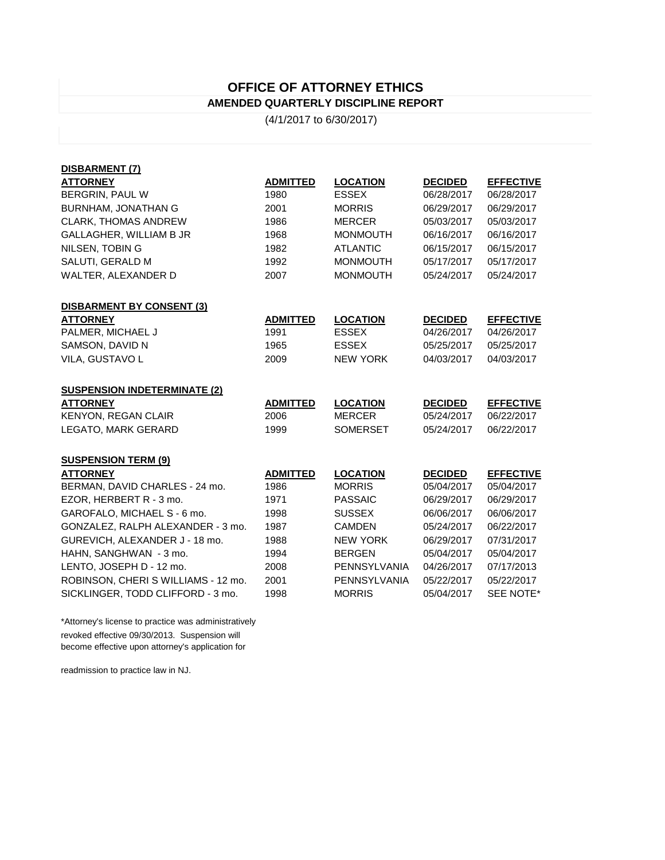## **OFFICE OF ATTORNEY ETHICS AMENDED QUARTERLY DISCIPLINE REPORT**

(4/1/2017 to 6/30/2017)

| DISBARMENT (7)                      |                 |                     |                |                  |
|-------------------------------------|-----------------|---------------------|----------------|------------------|
| <b>ATTORNEY</b>                     | <b>ADMITTED</b> | <b>LOCATION</b>     | <b>DECIDED</b> | <b>EFFECTIVE</b> |
| BERGRIN, PAUL W                     | 1980            | <b>ESSEX</b>        | 06/28/2017     | 06/28/2017       |
| <b>BURNHAM, JONATHAN G</b>          | 2001            | <b>MORRIS</b>       | 06/29/2017     | 06/29/2017       |
| <b>CLARK, THOMAS ANDREW</b>         | 1986            | <b>MERCER</b>       | 05/03/2017     | 05/03/2017       |
| GALLAGHER, WILLIAM B JR             | 1968            | <b>MONMOUTH</b>     | 06/16/2017     | 06/16/2017       |
| NILSEN, TOBIN G                     | 1982            | <b>ATLANTIC</b>     | 06/15/2017     | 06/15/2017       |
| SALUTI, GERALD M                    | 1992            | <b>MONMOUTH</b>     | 05/17/2017     | 05/17/2017       |
| WALTER, ALEXANDER D                 | 2007            | <b>MONMOUTH</b>     | 05/24/2017     | 05/24/2017       |
| <b>DISBARMENT BY CONSENT (3)</b>    |                 |                     |                |                  |
| <b>ATTORNEY</b>                     | <b>ADMITTED</b> | <b>LOCATION</b>     | <b>DECIDED</b> | <b>EFFECTIVE</b> |
| PALMER, MICHAEL J                   | 1991            | <b>ESSEX</b>        | 04/26/2017     | 04/26/2017       |
| SAMSON, DAVID N                     | 1965            | <b>ESSEX</b>        | 05/25/2017     | 05/25/2017       |
| VILA, GUSTAVO L                     | 2009            | <b>NEW YORK</b>     | 04/03/2017     | 04/03/2017       |
| <b>SUSPENSION INDETERMINATE (2)</b> |                 |                     |                |                  |
| <b>ATTORNEY</b>                     | <b>ADMITTED</b> | <b>LOCATION</b>     | <b>DECIDED</b> | <b>EFFECTIVE</b> |
| <b>KENYON, REGAN CLAIR</b>          | 2006            | <b>MERCER</b>       | 05/24/2017     | 06/22/2017       |
| LEGATO, MARK GERARD                 | 1999            | <b>SOMERSET</b>     | 05/24/2017     | 06/22/2017       |
| <b>SUSPENSION TERM (9)</b>          |                 |                     |                |                  |
| <b>ATTORNEY</b>                     | <b>ADMITTED</b> | <b>LOCATION</b>     | <b>DECIDED</b> | <b>EFFECTIVE</b> |
| BERMAN, DAVID CHARLES - 24 mo.      | 1986            | <b>MORRIS</b>       | 05/04/2017     | 05/04/2017       |
| EZOR, HERBERT R - 3 mo.             | 1971            | <b>PASSAIC</b>      | 06/29/2017     | 06/29/2017       |
| GAROFALO, MICHAEL S - 6 mo.         | 1998            | <b>SUSSEX</b>       | 06/06/2017     | 06/06/2017       |
| GONZALEZ, RALPH ALEXANDER - 3 mo.   | 1987            | <b>CAMDEN</b>       | 05/24/2017     | 06/22/2017       |
| GUREVICH, ALEXANDER J - 18 mo.      | 1988            | <b>NEW YORK</b>     | 06/29/2017     | 07/31/2017       |
| HAHN, SANGHWAN - 3 mo.              | 1994            | <b>BERGEN</b>       | 05/04/2017     | 05/04/2017       |
| LENTO, JOSEPH D - 12 mo.            | 2008            | PENNSYLVANIA        | 04/26/2017     | 07/17/2013       |
| ROBINSON, CHERI S WILLIAMS - 12 mo. | 2001            | <b>PENNSYLVANIA</b> | 05/22/2017     | 05/22/2017       |
| SICKLINGER, TODD CLIFFORD - 3 mo.   | 1998            | <b>MORRIS</b>       | 05/04/2017     | SEE NOTE*        |

\*Attorney's license to practice was administratively revoked effective 09/30/2013. Suspension will become effective upon attorney's application for

readmission to practice law in NJ.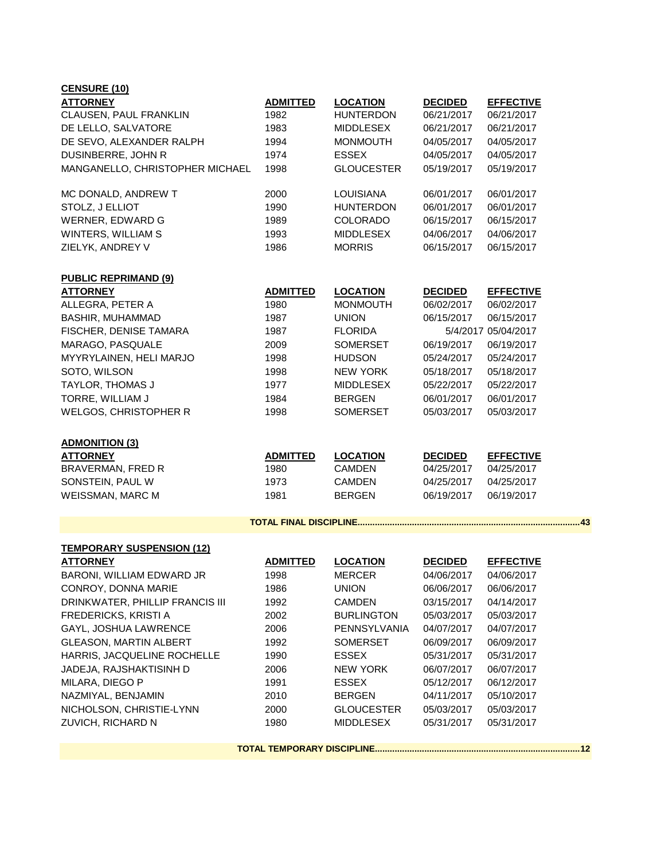| <b>CENSURE (10)</b>              |                 |                   |                |                     |
|----------------------------------|-----------------|-------------------|----------------|---------------------|
| <b>ATTORNEY</b>                  | <b>ADMITTED</b> | <b>LOCATION</b>   | <b>DECIDED</b> | <b>EFFECTIVE</b>    |
| CLAUSEN, PAUL FRANKLIN           | 1982            | <b>HUNTERDON</b>  | 06/21/2017     | 06/21/2017          |
| DE LELLO, SALVATORE              | 1983            | <b>MIDDLESEX</b>  | 06/21/2017     | 06/21/2017          |
| DE SEVO, ALEXANDER RALPH         | 1994            | <b>MONMOUTH</b>   | 04/05/2017     | 04/05/2017          |
| DUSINBERRE, JOHN R               | 1974            | <b>ESSEX</b>      | 04/05/2017     | 04/05/2017          |
| MANGANELLO, CHRISTOPHER MICHAEL  | 1998            | <b>GLOUCESTER</b> | 05/19/2017     | 05/19/2017          |
| MC DONALD, ANDREW T              | 2000            | LOUISIANA         | 06/01/2017     | 06/01/2017          |
| STOLZ, J ELLIOT                  | 1990            | <b>HUNTERDON</b>  | 06/01/2017     | 06/01/2017          |
| WERNER, EDWARD G                 | 1989            | <b>COLORADO</b>   | 06/15/2017     | 06/15/2017          |
| WINTERS, WILLIAM S               | 1993            | <b>MIDDLESEX</b>  | 04/06/2017     | 04/06/2017          |
| ZIELYK, ANDREY V                 | 1986            | <b>MORRIS</b>     | 06/15/2017     | 06/15/2017          |
| <b>PUBLIC REPRIMAND (9)</b>      |                 |                   |                |                     |
| <b>ATTORNEY</b>                  | <b>ADMITTED</b> | <b>LOCATION</b>   | <b>DECIDED</b> | <b>EFFECTIVE</b>    |
| ALLEGRA, PETER A                 | 1980            | <b>MONMOUTH</b>   | 06/02/2017     | 06/02/2017          |
| <b>BASHIR, MUHAMMAD</b>          | 1987            | <b>UNION</b>      | 06/15/2017     | 06/15/2017          |
| FISCHER, DENISE TAMARA           | 1987            | <b>FLORIDA</b>    |                | 5/4/2017 05/04/2017 |
| MARAGO, PASQUALE                 | 2009            | <b>SOMERSET</b>   | 06/19/2017     | 06/19/2017          |
| MYYRYLAINEN, HELI MARJO          | 1998            | <b>HUDSON</b>     | 05/24/2017     | 05/24/2017          |
| SOTO, WILSON                     | 1998            | <b>NEW YORK</b>   | 05/18/2017     | 05/18/2017          |
| TAYLOR, THOMAS J                 | 1977            | <b>MIDDLESEX</b>  | 05/22/2017     | 05/22/2017          |
| TORRE, WILLIAM J                 | 1984            | <b>BERGEN</b>     | 06/01/2017     | 06/01/2017          |
| <b>WELGOS, CHRISTOPHER R</b>     | 1998            | <b>SOMERSET</b>   | 05/03/2017     | 05/03/2017          |
| <b>ADMONITION (3)</b>            |                 |                   |                |                     |
| <b>ATTORNEY</b>                  | <b>ADMITTED</b> | <b>LOCATION</b>   | <b>DECIDED</b> | <b>EFFECTIVE</b>    |
| BRAVERMAN, FRED R                | 1980            | <b>CAMDEN</b>     | 04/25/2017     | 04/25/2017          |
| SONSTEIN, PAUL W                 | 1973            | <b>CAMDEN</b>     | 04/25/2017     | 04/25/2017          |
| <b>WEISSMAN, MARC M</b>          | 1981            | <b>BERGEN</b>     | 06/19/2017     | 06/19/2017          |
|                                  |                 |                   |                | . 43                |
| <b>TEMPORARY SUSPENSION (12)</b> |                 |                   |                |                     |
| <b>ATTORNEY</b>                  | <b>ADMITTED</b> | <b>LOCATION</b>   | <b>DECIDED</b> | <b>EFFECTIVE</b>    |
| BARONI, WILLIAM EDWARD JR        | 1998            | <b>MERCER</b>     | 04/06/2017     | 04/06/2017          |
| CONROY, DONNA MARIE              | 1986            | <b>UNION</b>      | 06/06/2017     | 06/06/2017          |
| DRINKWATER, PHILLIP FRANCIS III  | 1992            | <b>CAMDEN</b>     | 03/15/2017     | 04/14/2017          |
| FREDERICKS, KRISTI A             | 2002            | <b>BURLINGTON</b> | 05/03/2017     | 05/03/2017          |
| GAYL, JOSHUA LAWRENCE            | 2006            | PENNSYLVANIA      | 04/07/2017     | 04/07/2017          |
| GLEASON, MARTIN ALBERT           | 1992            | <b>SOMERSET</b>   | 06/09/2017     | 06/09/2017          |
| HARRIS, JACQUELINE ROCHELLE      | 1990            | <b>ESSEX</b>      | 05/31/2017     | 05/31/2017          |
| JADEJA, RAJSHAKTISINH D          | 2006            | <b>NEW YORK</b>   | 06/07/2017     | 06/07/2017          |
| MILARA, DIEGO P                  | 1991            | <b>ESSEX</b>      | 05/12/2017     | 06/12/2017          |
| NAZMIYAL, BENJAMIN               | 2010            | <b>BERGEN</b>     | 04/11/2017     | 05/10/2017          |
| NICHOLSON, CHRISTIE-LYNN         | 2000            | <b>GLOUCESTER</b> | 05/03/2017     | 05/03/2017          |
| ZUVICH, RICHARD N                | 1980            | MIDDLESEX         | 05/31/2017     | 05/31/2017          |
|                                  |                 |                   |                |                     |

**TOTAL TEMPORARY DISCIPLINE...................................................................................12**